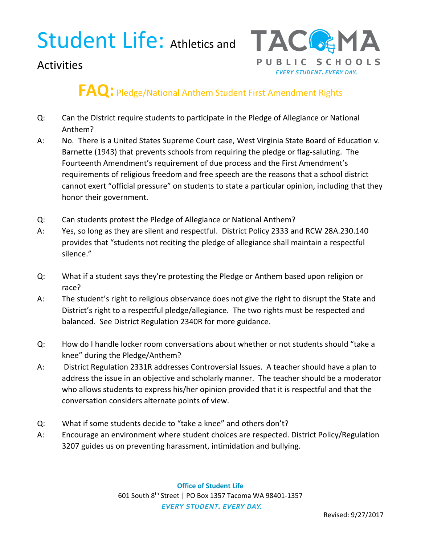## Student Life: Athletics and TACG&MA



### **Activities**

## **FAQ:** Pledge/National Anthem Student First Amendment Rights

- Q: Can the District require students to participate in the Pledge of Allegiance or National Anthem?
- A: No. There is a United States Supreme Court case, West Virginia State Board of Education v. Barnette (1943) that prevents schools from requiring the pledge or flag-saluting. The Fourteenth Amendment's requirement of due process and the First Amendment's requirements of religious freedom and free speech are the reasons that a school district cannot exert "official pressure" on students to state a particular opinion, including that they honor their government.
- Q: Can students protest the Pledge of Allegiance or National Anthem?
- A: Yes, so long as they are silent and respectful. District Policy 2333 and RCW 28A.230.140 provides that "students not reciting the pledge of allegiance shall maintain a respectful silence."
- Q: What if a student says they're protesting the Pledge or Anthem based upon religion or race?
- A: The student's right to religious observance does not give the right to disrupt the State and District's right to a respectful pledge/allegiance. The two rights must be respected and balanced. See District Regulation 2340R for more guidance.
- Q: How do I handle locker room conversations about whether or not students should "take a knee" during the Pledge/Anthem?
- A: District Regulation 2331R addresses Controversial Issues. A teacher should have a plan to address the issue in an objective and scholarly manner. The teacher should be a moderator who allows students to express his/her opinion provided that it is respectful and that the conversation considers alternate points of view.
- Q: What if some students decide to "take a knee" and others don't?
- A: Encourage an environment where student choices are respected. District Policy/Regulation 3207 guides us on preventing harassment, intimidation and bullying.